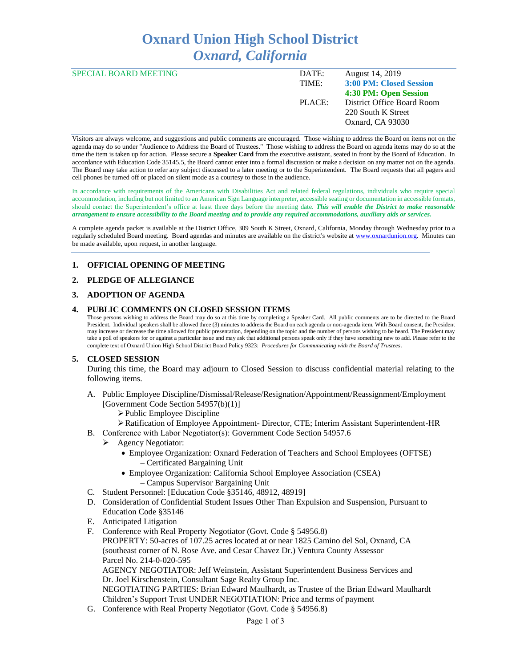# **Oxnard Union High School District** *Oxnard, California*

| <b>SPECIAL BOARD MEETING</b> | DATE:  | August 14, 2019            |
|------------------------------|--------|----------------------------|
|                              | TIME:  | 3:00 PM: Closed Session    |
|                              |        | 4:30 PM: Open Session      |
|                              | PLACE: | District Office Board Room |
|                              |        | 220 South K Street         |
|                              |        | Oxnard, CA 93030           |
|                              |        |                            |

Visitors are always welcome, and suggestions and public comments are encouraged. Those wishing to address the Board on items not on the agenda may do so under "Audience to Address the Board of Trustees." Those wishing to address the Board on agenda items may do so at the time the item is taken up for action. Please secure a **Speaker Card** from the executive assistant, seated in front by the Board of Education. In accordance with Education Code 35145.5, the Board cannot enter into a formal discussion or make a decision on any matter not on the agenda. The Board may take action to refer any subject discussed to a later meeting or to the Superintendent. The Board requests that all pagers and cell phones be turned off or placed on silent mode as a courtesy to those in the audience.

In accordance with requirements of the Americans with Disabilities Act and related federal regulations, individuals who require special accommodation, including but not limited to an American Sign Language interpreter, accessible seating or documentation in accessible formats, should contact the Superintendent's office at least three days before the meeting date. *This will enable the District to make reasonable arrangement to ensure accessibility to the Board meeting and to provide any required accommodations, auxiliary aids or services.* 

A complete agenda packet is available at the District Office, 309 South K Street, Oxnard, California, Monday through Wednesday prior to a regularly scheduled Board meeting. Board agendas and minutes are available on the district's website a[t www.ox](http://www.o/)nardunion.org.Minutes can be made available, upon request, in another language.

#### **1. OFFICIAL OPENING OF MEETING**

#### **2. PLEDGE OF ALLEGIANCE**

#### **3. ADOPTION OF AGENDA**

#### **4. PUBLIC COMMENTS ON CLOSED SESSION ITEMS**

Those persons wishing to address the Board may do so at this time by completing a Speaker Card. All public comments are to be directed to the Board President. Individual speakers shall be allowed three (3) minutes to address the Board on each agenda or non-agenda item. With Board consent, the President may increase or decrease the time allowed for public presentation, depending on the topic and the number of persons wishing to be heard. The President may take a poll of speakers for or against a particular issue and may ask that additional persons speak only if they have something new to add. Please refer to the complete text of Oxnard Union High School District Board Policy 9323: *Procedures for Communicating with the Board of Trustees*.

#### **5. CLOSED SESSION**

During this time, the Board may adjourn to Closed Session to discuss confidential material relating to the following items.

- A. Public Employee Discipline/Dismissal/Release/Resignation/Appointment/Reassignment/Employment [Government Code Section 54957(b)(1)]
	- ➢Public Employee Discipline
	- ➢Ratification of Employee Appointment- Director, CTE; Interim Assistant Superintendent-HR
- B. Conference with Labor Negotiator(s): Government Code Section 54957.6
	- ➢ Agency Negotiator:
		- Employee Organization: Oxnard Federation of Teachers and School Employees (OFTSE) – Certificated Bargaining Unit
		- Employee Organization: California School Employee Association (CSEA) – Campus Supervisor Bargaining Unit
- C. Student Personnel: [Education Code §35146, 48912, 48919]
- D. Consideration of Confidential Student Issues Other Than Expulsion and Suspension, Pursuant to Education Code §35146
- E. Anticipated Litigation
- F. Conference with Real Property Negotiator (Govt. Code § 54956.8)

PROPERTY: 50-acres of 107.25 acres located at or near 1825 Camino del Sol, Oxnard, CA (southeast corner of N. Rose Ave. and Cesar Chavez Dr.) Ventura County Assessor Parcel No. 214-0-020-595

AGENCY NEGOTIATOR: Jeff Weinstein, Assistant Superintendent Business Services and Dr. Joel Kirschenstein, Consultant Sage Realty Group Inc. NEGOTIATING PARTIES: Brian Edward Maulhardt, as Trustee of the Brian Edward Maulhardt

- Children's Support Trust UNDER NEGOTIATION: Price and terms of payment
- G. Conference with Real Property Negotiator (Govt. Code § 54956.8)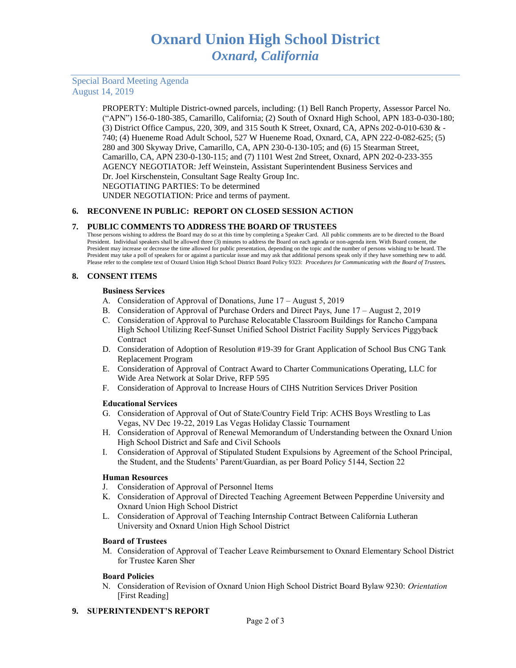# Special Board Meeting Agenda August 14, 2019

PROPERTY: Multiple District-owned parcels, including: (1) Bell Ranch Property, Assessor Parcel No. ("APN") 156-0-180-385, Camarillo, California; (2) South of Oxnard High School, APN 183-0-030-180; (3) District Office Campus, 220, 309, and 315 South K Street, Oxnard, CA, APNs 202-0-010-630 & - 740; (4) Hueneme Road Adult School, 527 W Hueneme Road, Oxnard, CA, APN 222-0-082-625; (5) 280 and 300 Skyway Drive, Camarillo, CA, APN 230-0-130-105; and (6) 15 Stearman Street, Camarillo, CA, APN 230-0-130-115; and (7) 1101 West 2nd Street, Oxnard, APN 202-0-233-355 AGENCY NEGOTIATOR: Jeff Weinstein, Assistant Superintendent Business Services and Dr. Joel Kirschenstein, Consultant Sage Realty Group Inc. NEGOTIATING PARTIES: To be determined UNDER NEGOTIATION: Price and terms of payment.

# **6. RECONVENE IN PUBLIC: REPORT ON CLOSED SESSION ACTION**

# **7. PUBLIC COMMENTS TO ADDRESS THE BOARD OF TRUSTEES**

Those persons wishing to address the Board may do so at this time by completing a Speaker Card. All public comments are to be directed to the Board President. Individual speakers shall be allowed three (3) minutes to address the Board on each agenda or non-agenda item. With Board consent, the President may increase or decrease the time allowed for public presentation, depending on the topic and the number of persons wishing to be heard. The President may take a poll of speakers for or against a particular issue and may ask that additional persons speak only if they have something new to add. Please refer to the complete text of Oxnard Union High School District Board Policy 9323: *Procedures for Communicating with the Board of Trustees.*

# **8. CONSENT ITEMS**

#### **Business Services**

- A. Consideration of Approval of Donations, June 17 August 5, 2019
- B. Consideration of Approval of Purchase Orders and Direct Pays, June 17 August 2, 2019
- C. Consideration of Approval to Purchase Relocatable Classroom Buildings for Rancho Campana High School Utilizing Reef-Sunset Unified School District Facility Supply Services Piggyback Contract
- D. Consideration of Adoption of Resolution #19-39 for Grant Application of School Bus CNG Tank Replacement Program
- E. Consideration of Approval of Contract Award to Charter Communications Operating, LLC for Wide Area Network at Solar Drive, RFP 595
- F. Consideration of Approval to Increase Hours of CIHS Nutrition Services Driver Position

# **Educational Services**

- G. Consideration of Approval of Out of State/Country Field Trip: ACHS Boys Wrestling to Las Vegas, NV Dec 19-22, 2019 Las Vegas Holiday Classic Tournament
- H. Consideration of Approval of Renewal Memorandum of Understanding between the Oxnard Union High School District and Safe and Civil Schools
- I. Consideration of Approval of Stipulated Student Expulsions by Agreement of the School Principal, the Student, and the Students' Parent/Guardian, as per Board Policy 5144, Section 22

# **Human Resources**

- J. Consideration of Approval of Personnel Items
- K. Consideration of Approval of Directed Teaching Agreement Between Pepperdine University and Oxnard Union High School District
- L. Consideration of Approval of Teaching Internship Contract Between California Lutheran University and Oxnard Union High School District

# **Board of Trustees**

M. Consideration of Approval of Teacher Leave Reimbursement to Oxnard Elementary School District for Trustee Karen Sher

# **Board Policies**

N. Consideration of Revision of Oxnard Union High School District Board Bylaw 9230: *Orientation*  [First Reading]

# **9. SUPERINTENDENT'S REPORT**